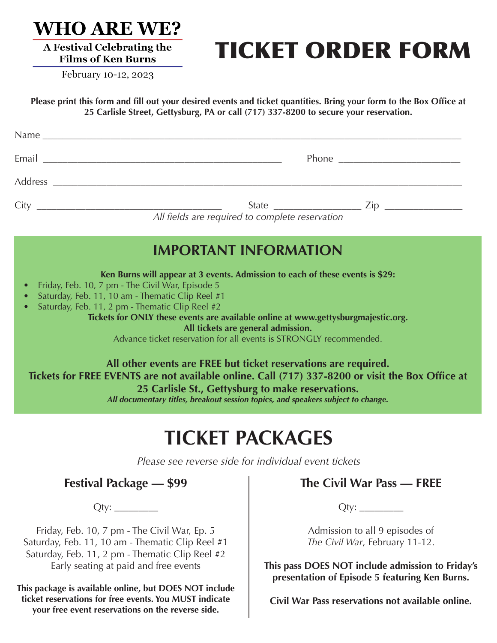

A Festival Celebrating the

# TICKET ORDER FORM

**Films of Ken Burns** February 10-12, 2023

**Please print this form and fill out your desired events and ticket quantities. Bring your form to the Box Office at 25 Carlisle Street, Gettysburg, PA or call (717) 337-8200 to secure your reservation.**

| Name                                            |
|-------------------------------------------------|
|                                                 |
|                                                 |
| All fields are required to complete reservation |

## **IMPORTANT INFORMATION**

**Ken Burns will appear at 3 events. Admission to each of these events is \$29:**

- Friday, Feb. 10, 7 pm The Civil War, Episode 5
- Saturday, Feb. 11, 10 am Thematic Clip Reel #1
- Saturday, Feb. 11, 2 pm Thematic Clip Reel #2

**Tickets for ONLY these events are available online at www.gettysburgmajestic.org.** 

**All tickets are general admission.**

Advance ticket reservation for all events is STRONGLY recommended.

**All other events are FREE but ticket reservations are required. Tickets for FREE EVENTS are not available online. Call (717) 337-8200 or visit the Box Office at 25 Carlisle St., Gettysburg to make reservations.**

*All documentary titles, breakout session topics, and speakers subject to change.*

## **TICKET PACKAGES**

*Please see reverse side for individual event tickets*

### **Festival Package — \$99**

 $Qty:$ 

Friday, Feb. 10, 7 pm - The Civil War, Ep. 5 Saturday, Feb. 11, 10 am - Thematic Clip Reel #1 Saturday, Feb. 11, 2 pm - Thematic Clip Reel #2 Early seating at paid and free events

**This package is available online, but DOES NOT include ticket reservations for free events. You MUST indicate your free event reservations on the reverse side.**

### **The Civil War Pass — FREE**

Qty: \_\_\_\_\_\_\_\_\_

Admission to all 9 episodes of *The Civil War*, February 11-12.

**This pass DOES NOT include admission to Friday's presentation of Episode 5 featuring Ken Burns.**

**Civil War Pass reservations not available online.**